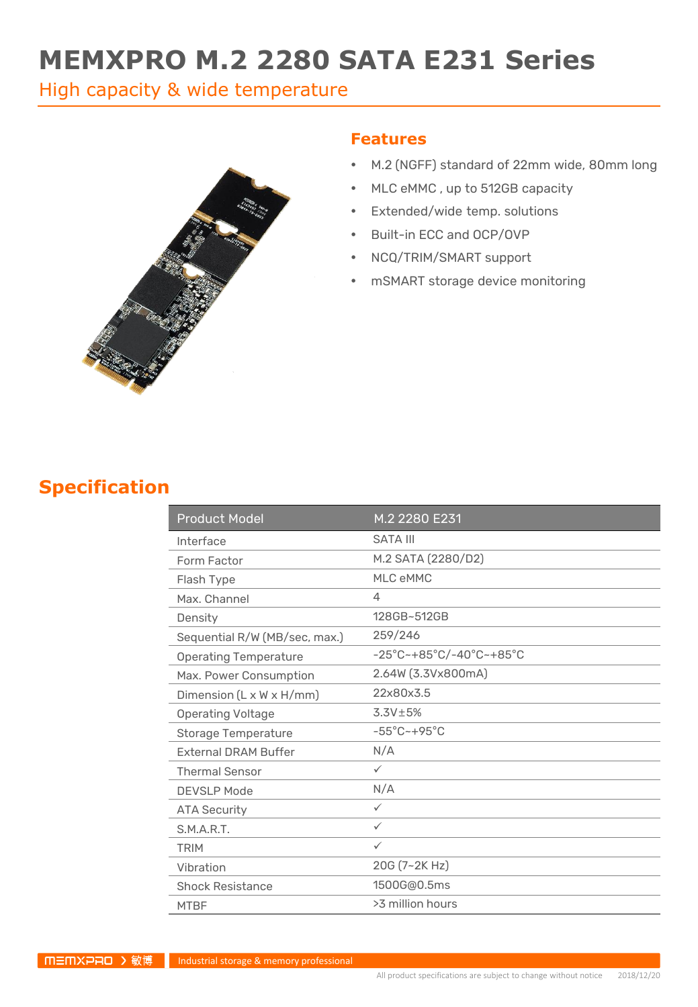# **MEMXPRO M.2 2280 SATA E231 Series**

High capacity & wide temperature



#### **Features**

- M.2 (NGFF) standard of 22mm wide, 80mm long
- MLC eMMC , up to 512GB capacity
- Extended/wide temp. solutions
- Built-in ECC and OCP/OVP
- NCQ/TRIM/SMART support
- mSMART storage device monitoring

#### **Specification**

| <b>Product Model</b>                 | M.2 2280 E231                                                      |
|--------------------------------------|--------------------------------------------------------------------|
| Interface                            | <b>SATA III</b>                                                    |
| Form Factor                          | M.2 SATA (2280/D2)                                                 |
| Flash Type                           | MLC eMMC                                                           |
| Max. Channel                         | 4                                                                  |
| Density                              | 128GB~512GB                                                        |
| Sequential R/W (MB/sec, max.)        | 259/246                                                            |
| <b>Operating Temperature</b>         | $-25^{\circ}$ C~+85 $^{\circ}$ C/-40 $^{\circ}$ C~+85 $^{\circ}$ C |
| Max. Power Consumption               | 2.64W (3.3Vx800mA)                                                 |
| Dimension $(L \times W \times H/mm)$ | 22x80x3.5                                                          |
| <b>Operating Voltage</b>             | $3.3V \pm 5%$                                                      |
| <b>Storage Temperature</b>           | $-55^{\circ}$ C $-+95^{\circ}$ C                                   |
| <b>External DRAM Buffer</b>          | N/A                                                                |
| <b>Thermal Sensor</b>                | $\checkmark$                                                       |
| <b>DEVSLP Mode</b>                   | N/A                                                                |
| <b>ATA Security</b>                  | $\checkmark$                                                       |
| S.M.A.R.T.                           | $\checkmark$                                                       |
| <b>TRIM</b>                          | $\checkmark$                                                       |
| Vibration                            | 20G (7~2K Hz)                                                      |
| <b>Shock Resistance</b>              | 1500G@0.5ms                                                        |
| <b>MTBF</b>                          | >3 million hours                                                   |